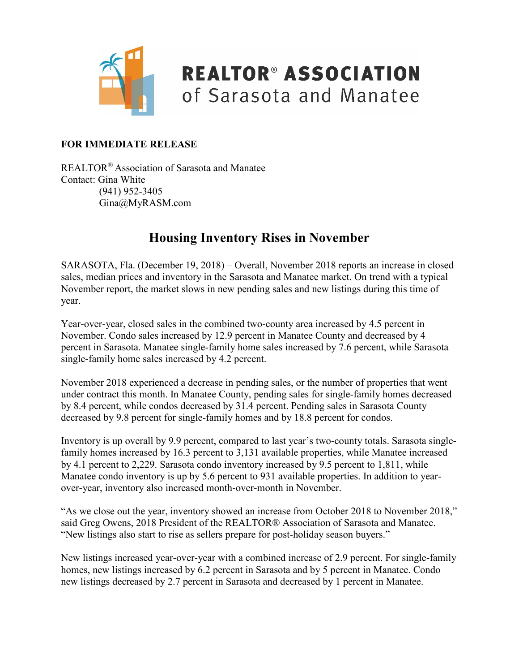

### **REALTOR® ASSOCIATION** of Sarasota and Manatee

#### **FOR IMMEDIATE RELEASE**

REALTOR® Association of Sarasota and Manatee Contact: Gina White (941) 952-3405 Gina@MyRASM.com

### **Housing Inventory Rises in November**

SARASOTA, Fla. (December 19, 2018) – Overall, November 2018 reports an increase in closed sales, median prices and inventory in the Sarasota and Manatee market. On trend with a typical November report, the market slows in new pending sales and new listings during this time of year.

Year-over-year, closed sales in the combined two-county area increased by 4.5 percent in November. Condo sales increased by 12.9 percent in Manatee County and decreased by 4 percent in Sarasota. Manatee single-family home sales increased by 7.6 percent, while Sarasota single-family home sales increased by 4.2 percent.

November 2018 experienced a decrease in pending sales, or the number of properties that went under contract this month. In Manatee County, pending sales for single-family homes decreased by 8.4 percent, while condos decreased by 31.4 percent. Pending sales in Sarasota County decreased by 9.8 percent for single-family homes and by 18.8 percent for condos.

Inventory is up overall by 9.9 percent, compared to last year's two-county totals. Sarasota singlefamily homes increased by 16.3 percent to 3,131 available properties, while Manatee increased by 4.1 percent to 2,229. Sarasota condo inventory increased by 9.5 percent to 1,811, while Manatee condo inventory is up by 5.6 percent to 931 available properties. In addition to yearover-year, inventory also increased month-over-month in November.

"As we close out the year, inventory showed an increase from October 2018 to November 2018," said Greg Owens, 2018 President of the REALTOR® Association of Sarasota and Manatee. "New listings also start to rise as sellers prepare for post-holiday season buyers."

New listings increased year-over-year with a combined increase of 2.9 percent. For single-family homes, new listings increased by 6.2 percent in Sarasota and by 5 percent in Manatee. Condo new listings decreased by 2.7 percent in Sarasota and decreased by 1 percent in Manatee.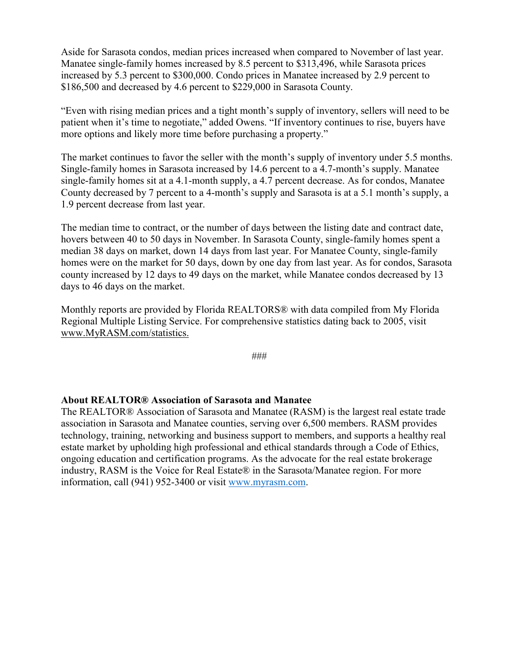Aside for Sarasota condos, median prices increased when compared to November of last year. Manatee single-family homes increased by 8.5 percent to \$313,496, while Sarasota prices increased by 5.3 percent to \$300,000. Condo prices in Manatee increased by 2.9 percent to \$186,500 and decreased by 4.6 percent to \$229,000 in Sarasota County.

"Even with rising median prices and a tight month's supply of inventory, sellers will need to be patient when it's time to negotiate," added Owens. "If inventory continues to rise, buyers have more options and likely more time before purchasing a property."

The market continues to favor the seller with the month's supply of inventory under 5.5 months. Single-family homes in Sarasota increased by 14.6 percent to a 4.7-month's supply. Manatee single-family homes sit at a 4.1-month supply, a 4.7 percent decrease. As for condos, Manatee County decreased by 7 percent to a 4-month's supply and Sarasota is at a 5.1 month's supply, a 1.9 percent decrease from last year.

The median time to contract, or the number of days between the listing date and contract date, hovers between 40 to 50 days in November. In Sarasota County, single-family homes spent a median 38 days on market, down 14 days from last year. For Manatee County, single-family homes were on the market for 50 days, down by one day from last year. As for condos, Sarasota county increased by 12 days to 49 days on the market, while Manatee condos decreased by 13 days to 46 days on the market.

Monthly reports are provided by Florida REALTORS® with data compiled from My Florida Regional Multiple Listing Service. For comprehensive statistics dating back to 2005, visit [www.MyRASM.com/statistics.](http://www.myrasm.com/statistics)

###

#### **About REALTOR® Association of Sarasota and Manatee**

The REALTOR® Association of Sarasota and Manatee (RASM) is the largest real estate trade association in Sarasota and Manatee counties, serving over 6,500 members. RASM provides technology, training, networking and business support to members, and supports a healthy real estate market by upholding high professional and ethical standards through a Code of Ethics, ongoing education and certification programs. As the advocate for the real estate brokerage industry, RASM is the Voice for Real Estate® in the Sarasota/Manatee region. For more information, call (941) 952-3400 or visit [www.myrasm.com.](http://www.myrasm.com/)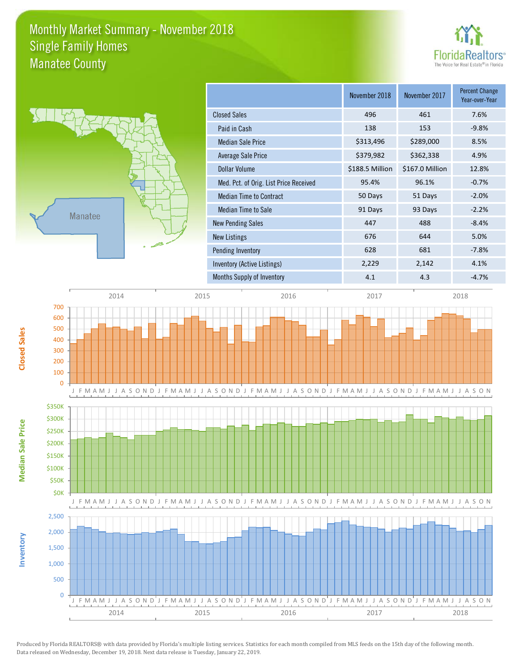### Monthly Market Summary - November 2018 Manatee County Single Family Homes





**Median Sale Price**

**Median Sale Price** 

**Closed Sales**

**Inventory**

|                                        | November 2018   | November 2017   | <b>Percent Change</b><br>Year-over-Year |
|----------------------------------------|-----------------|-----------------|-----------------------------------------|
| <b>Closed Sales</b>                    | 496             | 461             | 7.6%                                    |
| Paid in Cash                           | 138             | 153             | $-9.8%$                                 |
| <b>Median Sale Price</b>               | \$313,496       | \$289,000       | 8.5%                                    |
| Average Sale Price                     | \$379,982       | \$362,338       | 4.9%                                    |
| Dollar Volume                          | \$188.5 Million | \$167.0 Million | 12.8%                                   |
| Med. Pct. of Orig. List Price Received | 95.4%           | 96.1%           | $-0.7%$                                 |
| <b>Median Time to Contract</b>         | 50 Days         | 51 Days         | $-2.0%$                                 |
| Median Time to Sale                    | 91 Days         | 93 Days         | $-2.2%$                                 |
| <b>New Pending Sales</b>               | 447             | 488             | $-8.4%$                                 |
| <b>New Listings</b>                    | 676             | 644             | 5.0%                                    |
| Pending Inventory                      | 628             | 681             | $-7.8%$                                 |
| Inventory (Active Listings)            | 2,229           | 2,142           | 4.1%                                    |
| Months Supply of Inventory             | 4.1             | 4.3             | $-4.7%$                                 |

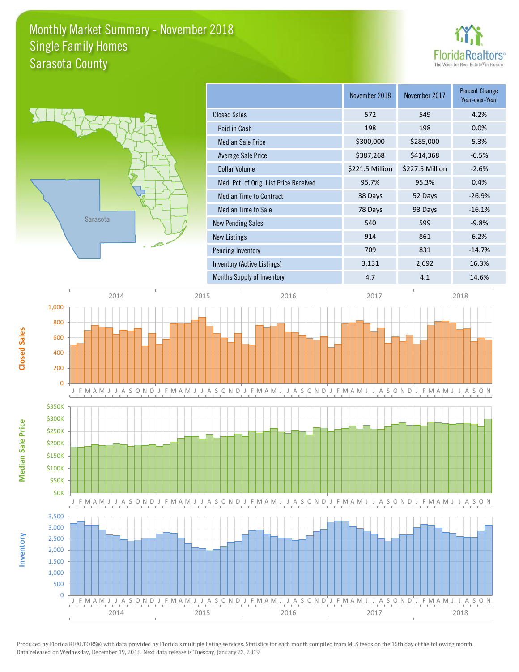### Monthly Market Summary - November 2018 Sarasota County Single Family Homes





**Median Sale Price**

**Median Sale Price** 

**Closed Sales**

**Inventory**

|                                        | November 2018   | November 2017   | <b>Percent Change</b><br>Year-over-Year |
|----------------------------------------|-----------------|-----------------|-----------------------------------------|
| <b>Closed Sales</b>                    | 572             | 549             | 4.2%                                    |
| Paid in Cash                           | 198             | 198             | 0.0%                                    |
| <b>Median Sale Price</b>               | \$300,000       | \$285,000       | 5.3%                                    |
| Average Sale Price                     | \$387,268       | \$414,368       | $-6.5%$                                 |
| Dollar Volume                          | \$221.5 Million | \$227.5 Million | $-2.6%$                                 |
| Med. Pct. of Orig. List Price Received | 95.7%           | 95.3%           | 0.4%                                    |
| <b>Median Time to Contract</b>         | 38 Days         | 52 Days         | $-26.9%$                                |
| Median Time to Sale                    | 78 Days         | 93 Days         | $-16.1%$                                |
| <b>New Pending Sales</b>               | 540             | 599             | $-9.8%$                                 |
| New Listings                           | 914             | 861             | 6.2%                                    |
| Pending Inventory                      | 709             | 831             | $-14.7%$                                |
| Inventory (Active Listings)            | 3,131           | 2,692           | 16.3%                                   |
| Months Supply of Inventory             | 4.7             | 4.1             | 14.6%                                   |



Produced by Florida REALTORS® with data provided by Florida's multiple listing services. Statistics for each month compiled from MLS feeds on the 15th day of the following month. Data released on Wednesday, December 19, 2018. Next data release is Tuesday, January 22, 2019.

2014 2015 2016 2016 2017 2018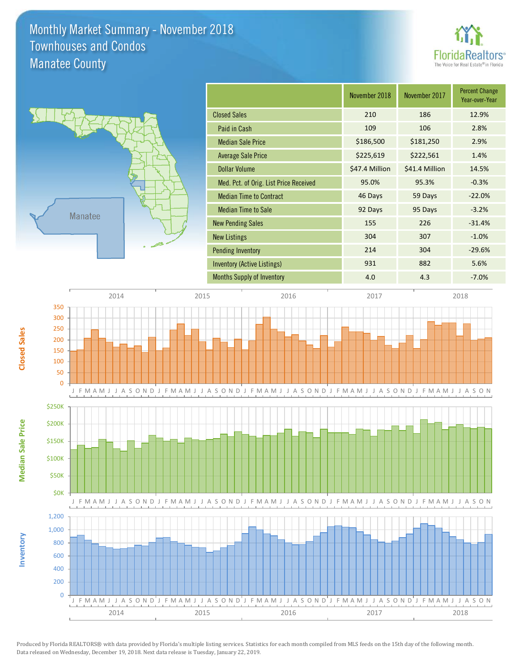### Monthly Market Summary - November 2018 Manatee County Townhouses and Condos





**Median Sale Price**

**Median Sale Price** 

**Closed Sales**

**Inventory**

|                                        | November 2018  | November 2017  | <b>Percent Change</b><br>Year-over-Year |
|----------------------------------------|----------------|----------------|-----------------------------------------|
| <b>Closed Sales</b>                    | 210            | 186            | 12.9%                                   |
| Paid in Cash                           | 109            | 106            | 2.8%                                    |
| <b>Median Sale Price</b>               | \$186,500      | \$181,250      | 2.9%                                    |
| <b>Average Sale Price</b>              | \$225,619      | \$222,561      | 1.4%                                    |
| <b>Dollar Volume</b>                   | \$47.4 Million | \$41.4 Million | 14.5%                                   |
| Med. Pct. of Orig. List Price Received | 95.0%          | 95.3%          | $-0.3%$                                 |
| <b>Median Time to Contract</b>         | 46 Days        | 59 Days        | $-22.0%$                                |
| <b>Median Time to Sale</b>             | 92 Days        | 95 Days        | $-3.2%$                                 |
| <b>New Pending Sales</b>               | 155            | 226            | $-31.4%$                                |
| <b>New Listings</b>                    | 304            | 307            | $-1.0%$                                 |
| <b>Pending Inventory</b>               | 214            | 304            | $-29.6%$                                |
| <b>Inventory (Active Listings)</b>     | 931            | 882            | 5.6%                                    |
| <b>Months Supply of Inventory</b>      | 4.0            | 4.3            | $-7.0%$                                 |

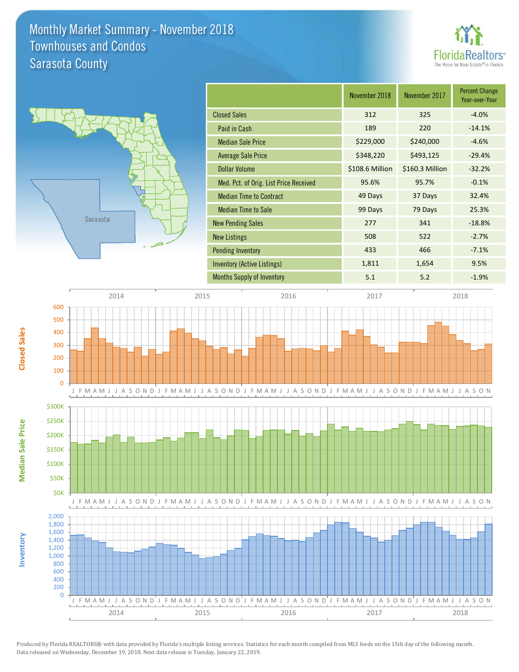### Monthly Market Summary - November 2018 Sarasota County Townhouses and Condos





**Median Sale Price**

**Median Sale Price** 

**Closed Sales**

**Inventory**

|                                        | November 2018   | November 2017   | <b>Percent Change</b><br>Year-over-Year |
|----------------------------------------|-----------------|-----------------|-----------------------------------------|
| <b>Closed Sales</b>                    | 312             | 325             | $-4.0%$                                 |
| Paid in Cash                           | 189             | 220             | $-14.1%$                                |
| <b>Median Sale Price</b>               | \$229,000       | \$240,000       | $-4.6%$                                 |
| <b>Average Sale Price</b>              | \$348,220       | \$493,125       | $-29.4%$                                |
| <b>Dollar Volume</b>                   | \$108.6 Million | \$160.3 Million | $-32.2%$                                |
| Med. Pct. of Orig. List Price Received | 95.6%           | 95.7%           | $-0.1%$                                 |
| <b>Median Time to Contract</b>         | 49 Days         | 37 Days         | 32.4%                                   |
| <b>Median Time to Sale</b>             | 99 Days         | 79 Days         | 25.3%                                   |
| <b>New Pending Sales</b>               | 277             | 341             | $-18.8%$                                |
| <b>New Listings</b>                    | 508             | 522             | $-2.7%$                                 |
| <b>Pending Inventory</b>               | 433             | 466             | $-7.1%$                                 |
| Inventory (Active Listings)            | 1,811           | 1,654           | 9.5%                                    |
| <b>Months Supply of Inventory</b>      | 5.1             | 5.2             | $-1.9%$                                 |



Produced by Florida REALTORS® with data provided by Florida's multiple listing services. Statistics for each month compiled from MLS feeds on the 15th day of the following month. Data released on Wednesday, December 19, 2018. Next data release is Tuesday, January 22, 2019.

2014 2015 2016 2016 2017 2018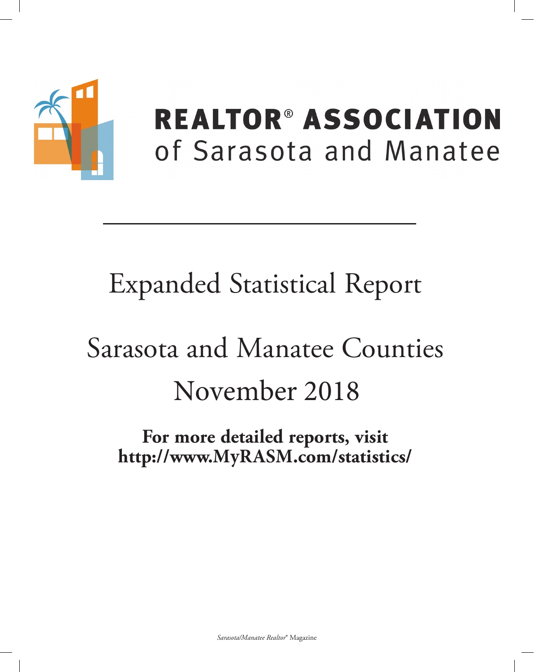

## **REALTOR® ASSOCIATION** of Sarasota and Manatee

## **Expanded Statistical Report**

# Sarasota and Manatee Counties November 2018

For more detailed reports, visit http://www.MyRASM.com/statistics/

Sarasota/Manatee Realtor® Magazine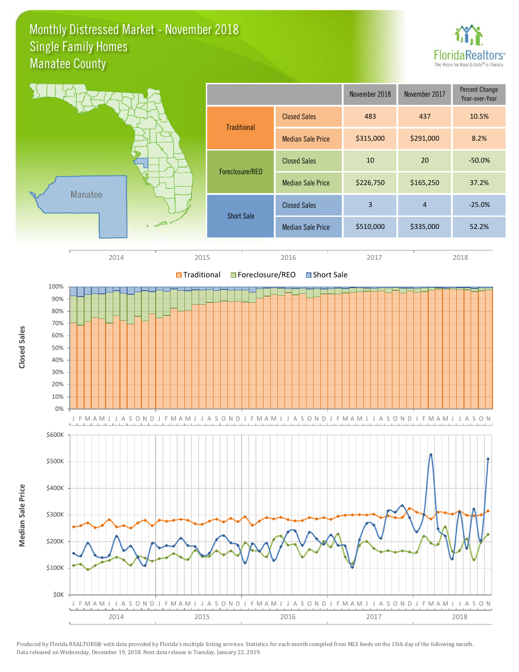### Monthly Distressed Market - November 2018 Manatee County Single Family Homes



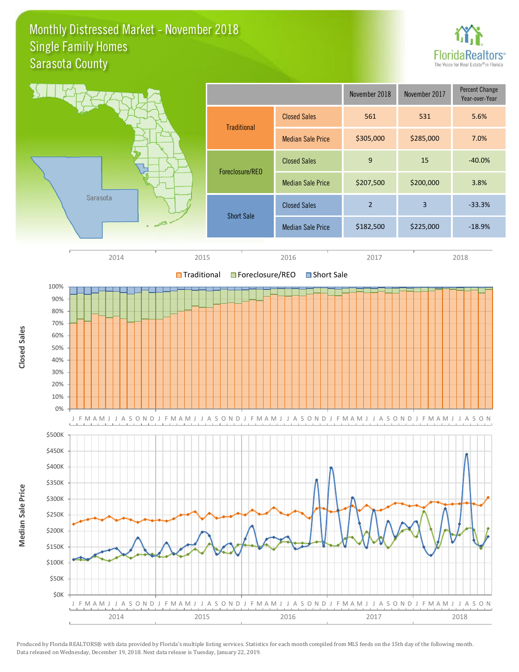### Monthly Distressed Market - November 2018 Sarasota County Single Family Homes



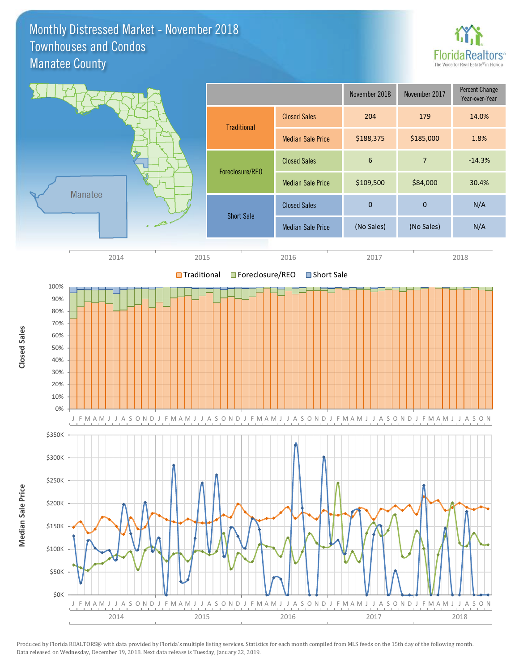### Monthly Distressed Market - November 2018 Manatee County Townhouses and Condos